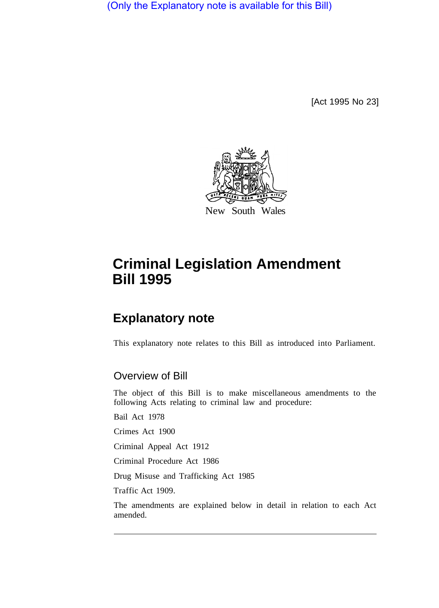(Only the Explanatory note is available for this Bill)

[Act 1995 No 23]



# **Criminal Legislation Amendment Bill 1995**

## **Explanatory note**

This explanatory note relates to this Bill as introduced into Parliament.

## Overview of Bill

The object of this Bill is to make miscellaneous amendments to the following Acts relating to criminal law and procedure:

Bail Act 1978

Crimes Act 1900

Criminal Appeal Act 1912

Criminal Procedure Act 1986

Drug Misuse and Trafficking Act 1985

Traffic Act 1909.

The amendments are explained below in detail in relation to each Act amended.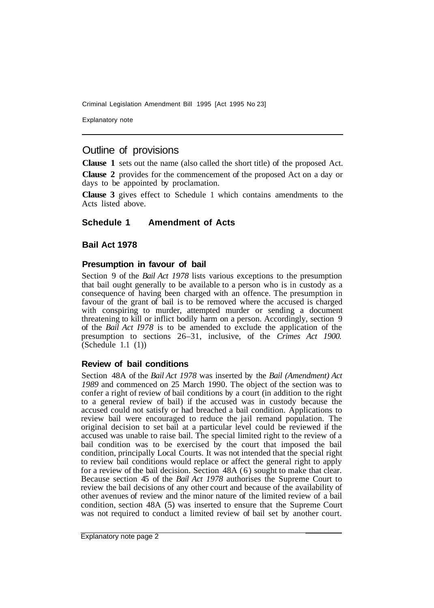Explanatory note

## Outline of provisions

**Clause 1** sets out the name (also called the short title) of the proposed Act.

**Clause 2** provides for the commencement of the proposed Act on a day or days to be appointed by proclamation.

**Clause 3** gives effect to Schedule 1 which contains amendments to the Acts listed above.

## **Schedule 1 Amendment of Acts**

## **Bail Act 1978**

## **Presumption in favour of bail**

Section 9 of the *Bail Act 1978* lists various exceptions to the presumption that bail ought generally to be available to a person who is in custody as a consequence of having been charged with an offence. The presumption in favour of the grant of bail is to be removed where the accused is charged with conspiring to murder, attempted murder or sending a document threatening to kill or inflict bodily harm on a person. Accordingly, section 9 of the *Bail Act I978* is to be amended to exclude the application of the presumption to sections 26–31, inclusive, of the *Crimes Act 1900.*   $(Schedule 1.1 (1))$ 

## **Review of bail conditions**

Section 48A of the *Bail Act 1978* was inserted by the *Bail (Amendment) Act 1989* and commenced on 25 March 1990. The object of the section was to confer a right of review of bail conditions by a court (in addition to the right to a general review of bail) if the accused was in custody because the accused could not satisfy or had breached a bail condition. Applications to review bail were encouraged to reduce the jail remand population. The original decision to set bail at a particular level could be reviewed if the accused was unable to raise bail. The special limited right to the review of a bail condition was to be exercised by the court that imposed the bail condition, principally Local Courts. It was not intended that the special right to review bail conditions would replace or affect the general right to apply for a review of the bail decision. Section 48A (6) sought to make that clear. Because section 45 of the *Bail Act 1978* authorises the Supreme Court to review the bail decisions of any other court and because of the availability of other avenues of review and the minor nature of the limited review of a bail condition, section 48A (5) was inserted to ensure that the Supreme Court was not required to conduct a limited review of bail set by another court.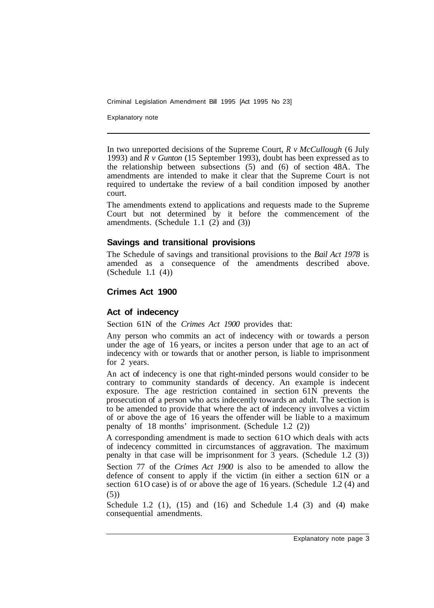Explanatory note

In two unreported decisions of the Supreme Court, *R v McCullough* (6 July 1993) and  $\overline{R}$  v Gunton (15 September 1993), doubt has been expressed as to the relationship between subsections (5) and (6) of section 48A. The amendments are intended to make it clear that the Supreme Court is not required to undertake the review of a bail condition imposed by another court.

The amendments extend to applications and requests made to the Supreme Court but not determined by it before the commencement of the amendments. (Schedule  $1.1$  (2) and (3))

## **Savings and transitional provisions**

The Schedule of savings and transitional provisions to the *Bail Act 1978* is amended as a consequence of the amendments described above. (Schedule 1.1 (4))

## **Crimes Act 1900**

## **Act of indecency**

Section 61N of the *Crimes Act 1900* provides that:

Any person who commits an act of indecency with or towards a person under the age of 16 years, or incites a person under that age to an act of indecency with or towards that or another person, is liable to imprisonment for 2 years.

An act of indecency is one that right-minded persons would consider to be contrary to community standards of decency. An example is indecent exposure. The age restriction contained in section 61N prevents the prosecution of a person who acts indecently towards an adult. The section is to be amended to provide that where the act of indecency involves a victim of or above the age of 16 years the offender will be liable to a maximum penalty of 18 months' imprisonment. (Schedule 1.2 (2))

A corresponding amendment is made to section 61O which deals with acts of indecency committed in circumstances of aggravation. The maximum penalty in that case will be imprisonment for 3 years. (Schedule 1.2 (3))

Section 77 of the *Crimes Act 1900* is also to be amended to allow the defence of consent to apply if the victim (in either a section 61N or a section 61O case) is of or above the age of 16 years. (Schedule 1.2 (4) and (5))

Schedule 1.2 (1),  $(15)$  and  $(16)$  and Schedule 1.4 (3) and  $(4)$  make consequential amendments.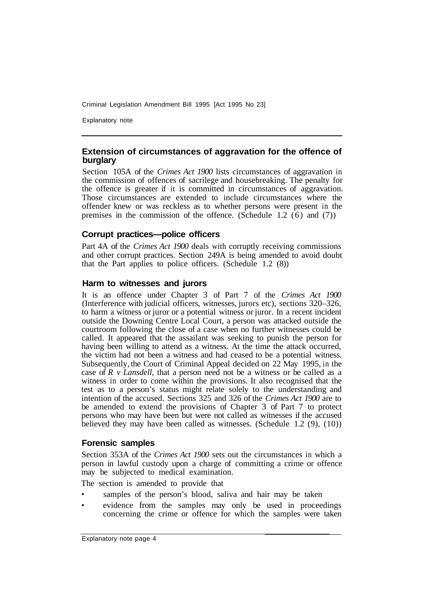Explanatory note

## **Extension of circumstances of aggravation for the offence of burglary**

Section 105A of the *Crimes Act 1900* lists circumstances of aggravation in the commission of offences of sacrilege and housebreaking. The penalty for the offence is greater if it is committed in circumstances of aggravation. Those circumstances are extended to include circumstances where the offender knew or was reckless as to whether persons were present in the premises in the commission of the offence. (Schedule 1.2 (6) and (7))

## **Corrupt practices—police officers**

Part 4A of the *Crimes Act 1900* deals with corruptly receiving commissions and other corrupt practices. Section 249A is being amended to avoid doubt that the Part applies to police officers. (Schedule 1.2 (8))

## **Harm to witnesses and jurors**

It is an offence under Chapter 3 of Part 7 of the *Crimes Act 1900*  (Interference with judicial officers, witnesses, jurors etc), sections 320–326, to harm a witness or juror or a potential witness or juror. In a recent incident outside the Downing Centre Local Court, a person was attacked outside the courtroom following the close of a case when no further witnesses could be called. It appeared that the assailant was seeking to punish the person for having been willing to attend as a witness. At the time the attack occurred, the victim had not been a witness and had ceased to be a potential witness. Subsequently, the Court of Criminal Appeal decided on 22 May 1995, in the case of *R v Lansdell,* that a person need not be a witness or be called as a witness in order to come within the provisions. It also recognised that the test as to a person's status might relate solely to the understanding and intention of the accused. Sections 325 and 326 of the *Crimes Act 1900* are to be amended to extend the provisions of Chapter 3 of Part 7 to protect persons who may have been but were not called as witnesses if the accused believed they may have been called as witnesses. (Schedule 1.2 (9), (10))

## **Forensic samples**

Section 353A of the *Crimes Act 1900* sets out the circumstances in which a person in lawful custody upon a charge of committing a crime or offence may be subjected to medical examination.

The section is amended to provide that

- samples of the person's blood, saliva and hair may be taken
- evidence from the samples may only be used in proceedings concerning the crime or offence for which the samples were taken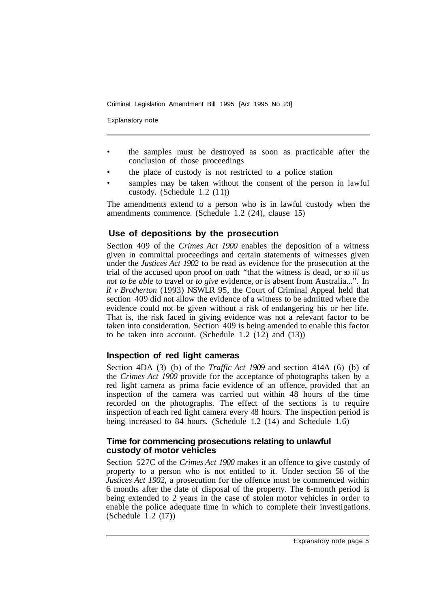Explanatory note

- the samples must be destroyed as soon as practicable after the conclusion of those proceedings
- the place of custody is not restricted to a police station
- samples may be taken without the consent of the person in lawful custody. (Schedule 1.2 (1 1))

The amendments extend to a person who is in lawful custody when the amendments commence. (Schedule 1.2 (24), clause 15)

## **Use of depositions by the prosecution**

Section 409 of the *Crimes Act 1900* enables the deposition of a witness given in committal proceedings and certain statements of witnesses given under the *Justices Act 1902* to be read as evidence for the prosecution at the trial of the accused upon proof on oath "that the witness is dead, or so *ill as not to be able* to travel or *to give* evidence, or is absent from Australia...". In *R v Brotherton* (1993) NSWLR 95, the Court of Criminal Appeal held that section 409 did not allow the evidence of a witness to be admitted where the evidence could not be given without a risk of endangering his or her life. That is, the risk faced in giving evidence was not a relevant factor to be taken into consideration. Section 409 is being amended to enable this factor to be taken into account. (Schedule  $1.2$  (12) and (13))

## **Inspection of red light cameras**

Section 4DA (3) (b) of the *Traffic Act 1909* and section 414A (6) (b) of the *Crimes Act 1900* provide for the acceptance of photographs taken by a red light camera as prima facie evidence of an offence, provided that an inspection of the camera was carried out within 48 hours of the time recorded on the photographs. The effect of the sections is to require inspection of each red light camera every 48 hours. The inspection period is being increased to 84 hours. (Schedule 1.2 (14) and Schedule 1.6)

## **Time for commencing prosecutions relating to unlawful custody of motor vehicles**

Section 527C of the *Crimes Act 1900* makes it an offence to give custody of property to a person who is not entitled to it. Under section 56 of the *Justices Act 1902,* a prosecution for the offence must be commenced within 6 months after the date of disposal of the property. The 6-month period is being extended to 2 years in the case of stolen motor vehicles in order to enable the police adequate time in which to complete their investigations.  $(Schedule 1.2 (17))$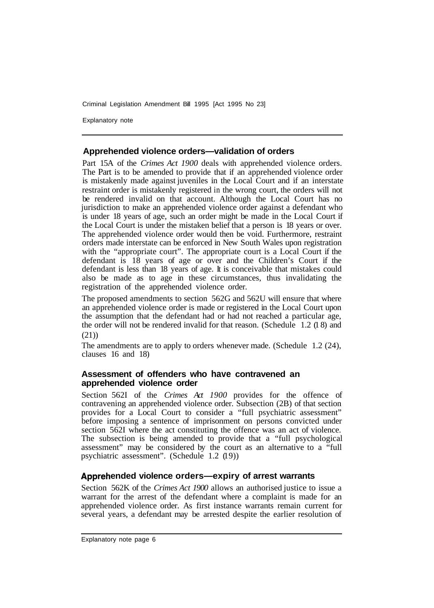Explanatory note

## **Apprehended violence orders—validation of orders**

Part 15A of the *Crimes Act 1900* deals with apprehended violence orders. The Part is to be amended to provide that if an apprehended violence order is mistakenly made against juveniles in the Local Court and if an interstate restraint order is mistakenly registered in the wrong court, the orders will not be rendered invalid on that account. Although the Local Court has no jurisdiction to make an apprehended violence order against a defendant who is under 18 years of age, such an order might be made in the Local Court if the Local Court is under the mistaken belief that a person is 18 years or over. The apprehended violence order would then be void. Furthermore, restraint orders made interstate can be enforced in New South Wales upon registration with the "appropriate court". The appropriate court is a Local Court if the defendant is 18 years of age or over and the Children's Court if the defendant is less than 18 years of age. It is conceivable that mistakes could also be made as to age in these circumstances, thus invalidating the registration of the apprehended violence order.

The proposed amendments to section 562G and 562U will ensure that where an apprehended violence order is made or registered in the Local Court upon the assumption that the defendant had or had not reached a particular age, the order will not be rendered invalid for that reason. (Schedule 1.2 (1 8) and (21))

The amendments are to apply to orders whenever made. (Schedule 1.2 (24), clauses 16 and 18)

## **Assessment of offenders who have contravened an apprehended violence order**

Section 562I of the *Crimes Act 1900* provides for the offence of contravening an apprehended violence order. Subsection (2B) of that section provides for a Local Court to consider a "full psychiatric assessment" before imposing a sentence of imprisonment on persons convicted under section 562I where the act constituting the offence was an act of violence. The subsection is being amended to provide that a "full psychological assessment" may be considered by the court as an alternative to a "full psychiatric assessment". (Schedule 1.2 (19))

## **ended violence orders—expiry of arrest warrants**

Section 562K of the *Crimes Act 1900* allows an authorised justice to issue a warrant for the arrest of the defendant where a complaint is made for an apprehended violence order. As first instance warrants remain current for several years, a defendant may be arrested despite the earlier resolution of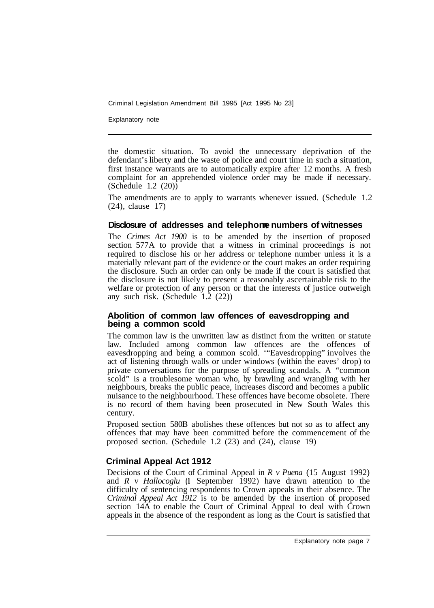Explanatory note

the domestic situation. To avoid the unnecessary deprivation of the defendant's liberty and the waste of police and court time in such a situation, first instance warrants are to automatically expire after 12 months. A fresh complaint for an apprehended violence order may be made if necessary.  $(Schedule 1.2 (20))$ 

The amendments are to apply to warrants whenever issued. (Schedule 1.2 (24), clause 17)

#### **Disclosure of addresses and telephone numbers of witnesses**

The *Crimes Act 1900* is to be amended by the insertion of proposed section 577A to provide that a witness in criminal proceedings is not required to disclose his or her address or telephone number unless it is a materially relevant part of the evidence or the court makes an order requiring the disclosure. Such an order can only be made if the court is satisfied that the disclosure is not likely to present a reasonably ascertainable risk to the welfare or protection of any person or that the interests of justice outweigh any such risk. (Schedule  $1.\overline{2}$  (22))

#### **Abolition of common law offences of eavesdropping and being a common scold**

The common law is the unwritten law as distinct from the written or statute law. Included among common law offences are the offences of eavesdropping and being a common scold. '"Eavesdropping" involves the act of listening through walls or under windows (within the eaves' drop) to private conversations for the purpose of spreading scandals. A "common scold" is a troublesome woman who, by brawling and wrangling with her neighbours, breaks the public peace, increases discord and becomes a public nuisance to the neighbourhood. These offences have become obsolete. There is no record of them having been prosecuted in New South Wales this century.

Proposed section 580B abolishes these offences but not so as to affect any offences that may have been committed before the commencement of the proposed section. (Schedule 1.2 (23) and (24), clause 19)

## **Criminal Appeal Act 1912**

Decisions of the Court of Criminal Appeal in *R v Puena* (15 August 1992) and *R v Hallocoglu* (1 September 1992) have drawn attention to the difficulty of sentencing respondents to Crown appeals in their absence. The *Criminal Appeal Act 1912* is to be amended by the insertion of proposed section 14A to enable the Court of Criminal Appeal to deal with Crown appeals in the absence of the respondent as long as the Court is satisfied that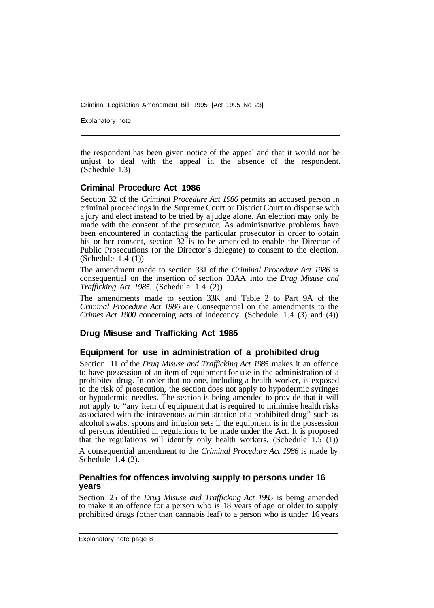Explanatory note

the respondent has been given notice of the appeal and that it would not be unjust to deal with the appeal in the absence of the respondent. (Schedule 1.3)

## **Criminal Procedure Act 1986**

Section 32 of the *Criminal Procedure Act 1986* permits an accused person in criminal proceedings in the Supreme Court or District Court to dispense with a jury and elect instead to be tried by a judge alone. An election may only be made with the consent of the prosecutor. As administrative problems have been encountered in contacting the particular prosecutor in order to obtain his or her consent, section 32 is to be amended to enable the Director of Public Prosecutions (or the Director's delegate) to consent to the election. (Schedule 1.4 (1))

The amendment made to section 33J of the *Criminal Procedure Act 1986* is consequential on the insertion of section 33AA into the *Drug Misuse and Trafficking Act 1985.* (Schedule 1.4 (2))

The amendments made to section 33K and Table 2 to Part 9A of the *Criminal Procedure Act 1986* are Consequential on the amendments to the *Crimes Act 1900* concerning acts of indecency. (Schedule 1.4 (3) and (4))

## **Drug Misuse and Trafficking Act 1985**

## **Equipment for use in administration of a prohibited drug**

Section **11** of the *Drug Misuse and Trafficking Act 1985* makes it an offence to have possession of an item of equipment for use in the administration of a prohibited drug. In order that no one, including a health worker, is exposed to the risk of prosecution, the section does not apply to hypodermic syringes or hypodermic needles. The section is being amended to provide that it will not apply to "any item of equipment that is required to minimise health risks associated with the intravenous administration of a prohibited drug" such as alcohol swabs, spoons and infusion sets if the equipment is in the possession of persons identified in regulations to be made under the Act. It is proposed that the regulations will identify only health workers. (Schedule  $1.\overline{5}$  (1))

A consequential amendment to the *Criminal Procedure Act 1986* is made by Schedule 1.4 (2).

## **Penalties for offences involving supply to persons under 16 years**

Section 25 of the *Drug Misuse and Trafficking Act 1985* is being amended to make it an offence for a person who is 18 years of age or older to supply prohibited drugs (other than cannabis leaf) to a person who is under 16 years